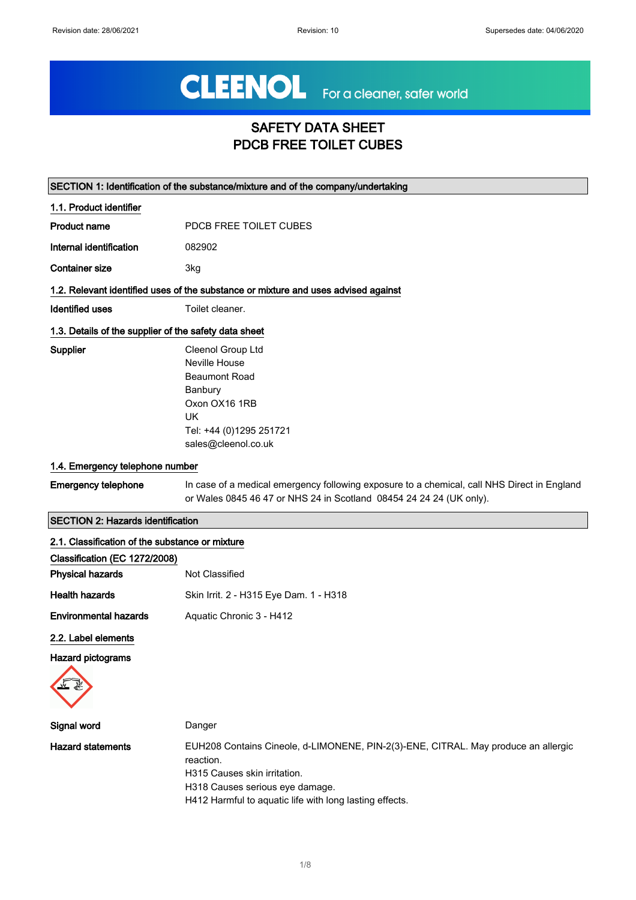# CLEENOL For a cleaner, safer world

## SAFETY DATA SHEET PDCB FREE TOILET CUBES

|                                                       | SECTION 1: Identification of the substance/mixture and of the company/undertaking                                                                                                                                             |
|-------------------------------------------------------|-------------------------------------------------------------------------------------------------------------------------------------------------------------------------------------------------------------------------------|
| 1.1. Product identifier                               |                                                                                                                                                                                                                               |
| <b>Product name</b>                                   | PDCB FREE TOILET CUBES                                                                                                                                                                                                        |
| Internal identification                               | 082902                                                                                                                                                                                                                        |
| <b>Container size</b>                                 | 3kg                                                                                                                                                                                                                           |
|                                                       | 1.2. Relevant identified uses of the substance or mixture and uses advised against                                                                                                                                            |
| <b>Identified uses</b>                                | Toilet cleaner.                                                                                                                                                                                                               |
| 1.3. Details of the supplier of the safety data sheet |                                                                                                                                                                                                                               |
| Supplier                                              | Cleenol Group Ltd<br>Neville House<br><b>Beaumont Road</b><br>Banbury<br>Oxon OX16 1RB<br><b>UK</b><br>Tel: +44 (0)1295 251721<br>sales@cleenol.co.uk                                                                         |
| 1.4. Emergency telephone number                       |                                                                                                                                                                                                                               |
| <b>Emergency telephone</b>                            | In case of a medical emergency following exposure to a chemical, call NHS Direct in England<br>or Wales 0845 46 47 or NHS 24 in Scotland 08454 24 24 24 (UK only).                                                            |
| <b>SECTION 2: Hazards identification</b>              |                                                                                                                                                                                                                               |
| 2.1. Classification of the substance or mixture       |                                                                                                                                                                                                                               |
| Classification (EC 1272/2008)                         |                                                                                                                                                                                                                               |
| <b>Physical hazards</b>                               | Not Classified                                                                                                                                                                                                                |
| <b>Health hazards</b>                                 | Skin Irrit. 2 - H315 Eye Dam. 1 - H318                                                                                                                                                                                        |
| <b>Environmental hazards</b>                          | Aquatic Chronic 3 - H412                                                                                                                                                                                                      |
| 2.2. Label elements<br>Hazard pictograms              |                                                                                                                                                                                                                               |
| Signal word                                           | Danger                                                                                                                                                                                                                        |
| <b>Hazard statements</b>                              | EUH208 Contains Cineole, d-LIMONENE, PIN-2(3)-ENE, CITRAL. May produce an allergic<br>reaction.<br>H315 Causes skin irritation.<br>H318 Causes serious eye damage.<br>H412 Harmful to aquatic life with long lasting effects. |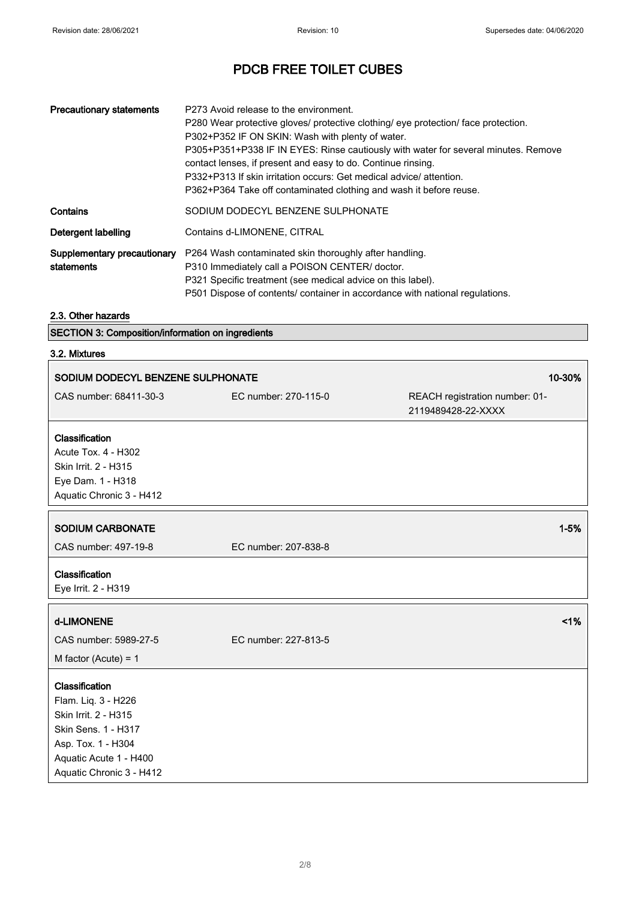| <b>Precautionary statements</b>           | P273 Avoid release to the environment.<br>P280 Wear protective gloves/ protective clothing/ eye protection/ face protection.<br>P302+P352 IF ON SKIN: Wash with plenty of water.<br>P305+P351+P338 IF IN EYES: Rinse cautiously with water for several minutes. Remove<br>contact lenses, if present and easy to do. Continue rinsing.<br>P332+P313 If skin irritation occurs: Get medical advice/ attention.<br>P362+P364 Take off contaminated clothing and wash it before reuse. |
|-------------------------------------------|-------------------------------------------------------------------------------------------------------------------------------------------------------------------------------------------------------------------------------------------------------------------------------------------------------------------------------------------------------------------------------------------------------------------------------------------------------------------------------------|
| Contains                                  | SODIUM DODECYL BENZENE SULPHONATE                                                                                                                                                                                                                                                                                                                                                                                                                                                   |
| Detergent labelling                       | Contains d-LIMONENE, CITRAL                                                                                                                                                                                                                                                                                                                                                                                                                                                         |
| Supplementary precautionary<br>statements | P264 Wash contaminated skin thoroughly after handling.<br>P310 Immediately call a POISON CENTER/ doctor.<br>P321 Specific treatment (see medical advice on this label).<br>P501 Dispose of contents/ container in accordance with national regulations.                                                                                                                                                                                                                             |

#### 2.3. Other hazards

| <b>SECTION 3: Composition/information on ingredients</b> |
|----------------------------------------------------------|
|----------------------------------------------------------|

## 3.2. Mixtures

| 10-30%<br>SODIUM DODECYL BENZENE SULPHONATE                                                                                                                      |                      |                                |
|------------------------------------------------------------------------------------------------------------------------------------------------------------------|----------------------|--------------------------------|
| CAS number: 68411-30-3                                                                                                                                           | EC number: 270-115-0 | REACH registration number: 01- |
|                                                                                                                                                                  |                      | 2119489428-22-XXXX             |
| Classification<br>Acute Tox. 4 - H302<br>Skin Irrit. 2 - H315<br>Eye Dam. 1 - H318<br>Aquatic Chronic 3 - H412                                                   |                      |                                |
| <b>SODIUM CARBONATE</b>                                                                                                                                          |                      | $1 - 5%$                       |
| CAS number: 497-19-8                                                                                                                                             | EC number: 207-838-8 |                                |
| Classification<br>Eye Irrit. 2 - H319                                                                                                                            |                      |                                |
| d-LIMONENE                                                                                                                                                       |                      | 1%                             |
| CAS number: 5989-27-5                                                                                                                                            | EC number: 227-813-5 |                                |
| M factor (Acute) = $1$                                                                                                                                           |                      |                                |
| Classification<br>Flam. Liq. 3 - H226<br>Skin Irrit. 2 - H315<br>Skin Sens. 1 - H317<br>Asp. Tox. 1 - H304<br>Aquatic Acute 1 - H400<br>Aquatic Chronic 3 - H412 |                      |                                |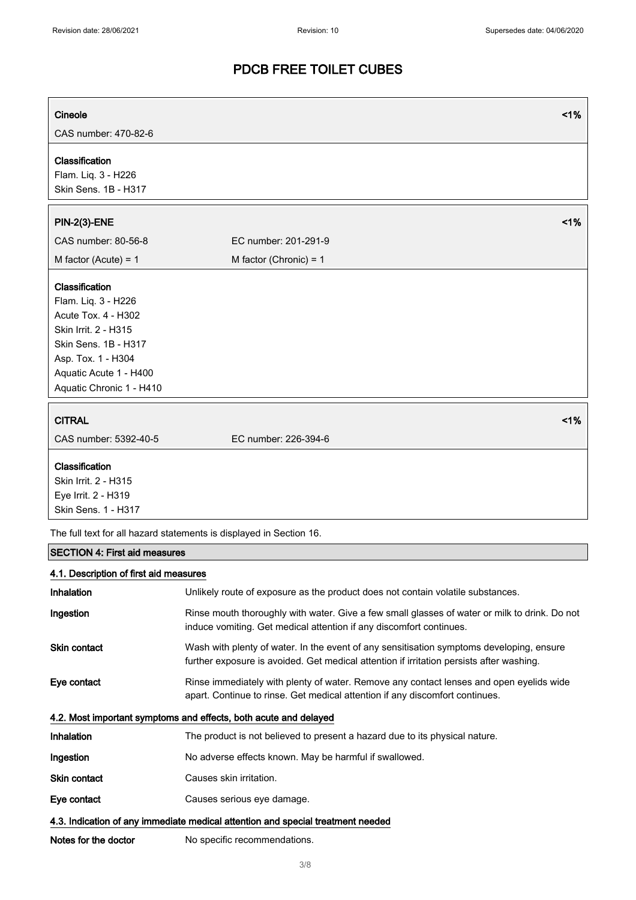| Cineole                                                                                                                                                                                  | 1%                       |
|------------------------------------------------------------------------------------------------------------------------------------------------------------------------------------------|--------------------------|
| CAS number: 470-82-6                                                                                                                                                                     |                          |
| Classification<br>Flam. Liq. 3 - H226<br>Skin Sens. 1B - H317                                                                                                                            |                          |
| <b>PIN-2(3)-ENE</b>                                                                                                                                                                      | 1%                       |
| CAS number: 80-56-8                                                                                                                                                                      | EC number: 201-291-9     |
| M factor (Acute) = $1$                                                                                                                                                                   | M factor (Chronic) = $1$ |
| Classification<br>Flam. Liq. 3 - H226<br>Acute Tox. 4 - H302<br>Skin Irrit. 2 - H315<br>Skin Sens. 1B - H317<br>Asp. Tox. 1 - H304<br>Aquatic Acute 1 - H400<br>Aquatic Chronic 1 - H410 |                          |
| <b>CITRAL</b>                                                                                                                                                                            | 1%                       |
| CAS number: 5392-40-5                                                                                                                                                                    | EC number: 226-394-6     |
| Classification<br>Skin Irrit. 2 - H315<br>Eye Irrit. 2 - H319<br>Skin Sens. 1 - H317                                                                                                     |                          |
| The full text for all hazard statements is displayed in Section 16.                                                                                                                      |                          |
| <b>SECTION 4: First aid measures</b>                                                                                                                                                     |                          |

#### 4.1. Description of first aid measures

| <b>Inhalation</b>    | Unlikely route of exposure as the product does not contain volatile substances.                                                                                                      |
|----------------------|--------------------------------------------------------------------------------------------------------------------------------------------------------------------------------------|
| Ingestion            | Rinse mouth thoroughly with water. Give a few small glasses of water or milk to drink. Do not<br>induce vomiting. Get medical attention if any discomfort continues.                 |
| Skin contact         | Wash with plenty of water. In the event of any sensitisation symptoms developing, ensure<br>further exposure is avoided. Get medical attention if irritation persists after washing. |
| Eye contact          | Rinse immediately with plenty of water. Remove any contact lenses and open eyelids wide<br>apart. Continue to rinse. Get medical attention if any discomfort continues.              |
|                      | 4.2. Most important symptoms and effects, both acute and delayed                                                                                                                     |
| <b>Inhalation</b>    | The product is not believed to present a hazard due to its physical nature.                                                                                                          |
| Ingestion            | No adverse effects known. May be harmful if swallowed.                                                                                                                               |
| Skin contact         | Causes skin irritation.                                                                                                                                                              |
| Eye contact          | Causes serious eye damage.                                                                                                                                                           |
|                      | 4.3. Indication of any immediate medical attention and special treatment needed                                                                                                      |
| Notes for the doctor | No specific recommendations.                                                                                                                                                         |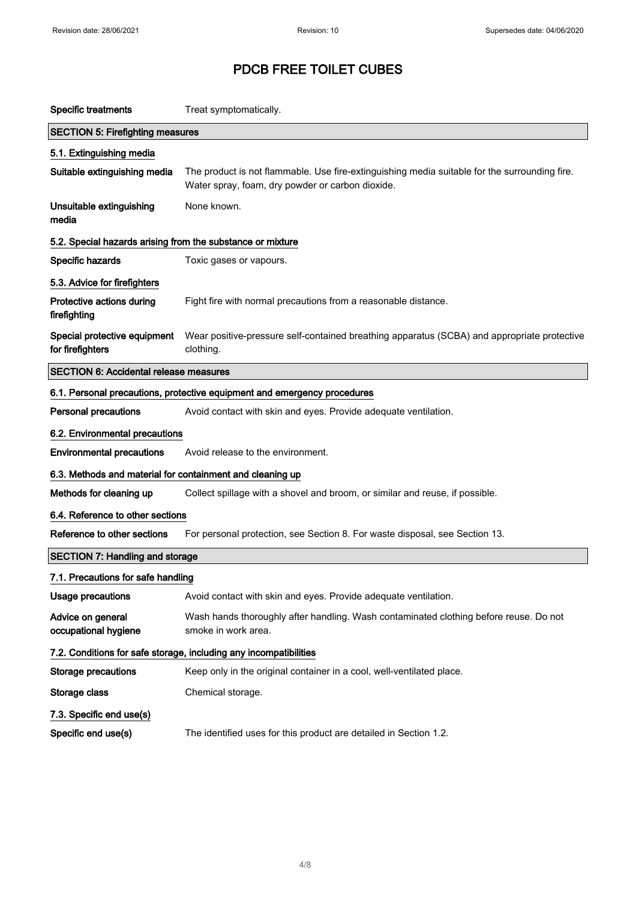| <b>Specific treatments</b>                                 | Treat symptomatically.                                                                                                                            |  |  |
|------------------------------------------------------------|---------------------------------------------------------------------------------------------------------------------------------------------------|--|--|
| <b>SECTION 5: Firefighting measures</b>                    |                                                                                                                                                   |  |  |
| 5.1. Extinguishing media                                   |                                                                                                                                                   |  |  |
| Suitable extinguishing media                               | The product is not flammable. Use fire-extinguishing media suitable for the surrounding fire.<br>Water spray, foam, dry powder or carbon dioxide. |  |  |
| Unsuitable extinguishing<br>media                          | None known.                                                                                                                                       |  |  |
| 5.2. Special hazards arising from the substance or mixture |                                                                                                                                                   |  |  |
| Specific hazards                                           | Toxic gases or vapours.                                                                                                                           |  |  |
| 5.3. Advice for firefighters                               |                                                                                                                                                   |  |  |
| Protective actions during<br>firefighting                  | Fight fire with normal precautions from a reasonable distance.                                                                                    |  |  |
| Special protective equipment<br>for firefighters           | Wear positive-pressure self-contained breathing apparatus (SCBA) and appropriate protective<br>clothing.                                          |  |  |
| <b>SECTION 6: Accidental release measures</b>              |                                                                                                                                                   |  |  |
|                                                            | 6.1. Personal precautions, protective equipment and emergency procedures                                                                          |  |  |
| <b>Personal precautions</b>                                | Avoid contact with skin and eyes. Provide adequate ventilation.                                                                                   |  |  |
| 6.2. Environmental precautions                             |                                                                                                                                                   |  |  |
| <b>Environmental precautions</b>                           | Avoid release to the environment.                                                                                                                 |  |  |
| 6.3. Methods and material for containment and cleaning up  |                                                                                                                                                   |  |  |
| Methods for cleaning up                                    | Collect spillage with a shovel and broom, or similar and reuse, if possible.                                                                      |  |  |
| 6.4. Reference to other sections                           |                                                                                                                                                   |  |  |
| Reference to other sections                                | For personal protection, see Section 8. For waste disposal, see Section 13.                                                                       |  |  |
| <b>SECTION 7: Handling and storage</b>                     |                                                                                                                                                   |  |  |
| 7.1. Precautions for safe handling                         |                                                                                                                                                   |  |  |
| Usage precautions                                          | Avoid contact with skin and eyes. Provide adequate ventilation.                                                                                   |  |  |
| Advice on general<br>occupational hygiene                  | Wash hands thoroughly after handling. Wash contaminated clothing before reuse. Do not<br>smoke in work area.                                      |  |  |
|                                                            | 7.2. Conditions for safe storage, including any incompatibilities                                                                                 |  |  |
| <b>Storage precautions</b>                                 | Keep only in the original container in a cool, well-ventilated place.                                                                             |  |  |
| Storage class                                              | Chemical storage.                                                                                                                                 |  |  |
| 7.3. Specific end use(s)                                   |                                                                                                                                                   |  |  |
| Specific end use(s)                                        | The identified uses for this product are detailed in Section 1.2.                                                                                 |  |  |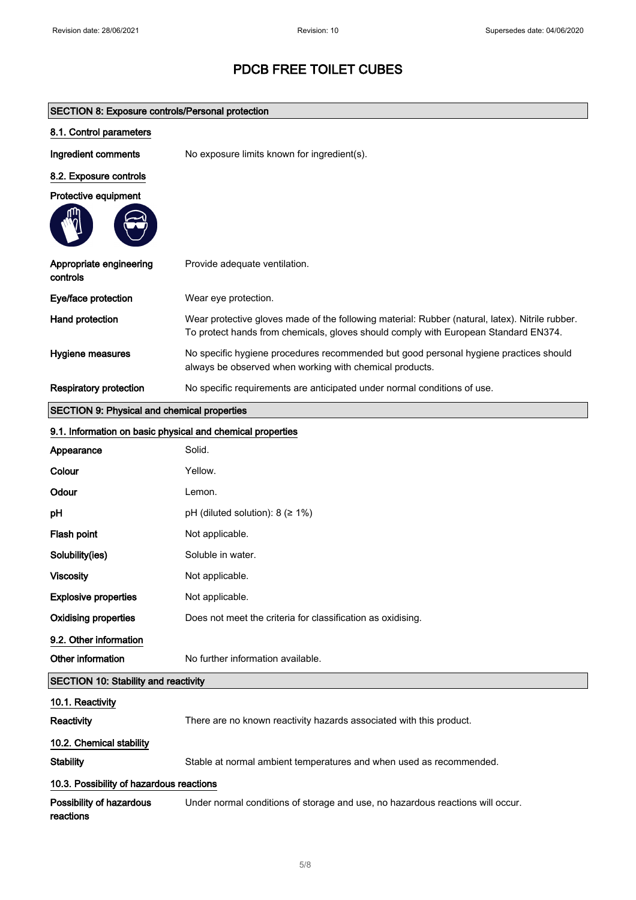| <b>SECTION 8: Exposure controls/Personal protection</b>    |                                                                                                                                                                                        |  |
|------------------------------------------------------------|----------------------------------------------------------------------------------------------------------------------------------------------------------------------------------------|--|
| 8.1. Control parameters                                    |                                                                                                                                                                                        |  |
| Ingredient comments                                        | No exposure limits known for ingredient(s).                                                                                                                                            |  |
| 8.2. Exposure controls                                     |                                                                                                                                                                                        |  |
| Protective equipment                                       |                                                                                                                                                                                        |  |
| Appropriate engineering<br>controls                        | Provide adequate ventilation.                                                                                                                                                          |  |
| Eye/face protection                                        | Wear eye protection.                                                                                                                                                                   |  |
| Hand protection                                            | Wear protective gloves made of the following material: Rubber (natural, latex). Nitrile rubber.<br>To protect hands from chemicals, gloves should comply with European Standard EN374. |  |
| Hygiene measures                                           | No specific hygiene procedures recommended but good personal hygiene practices should<br>always be observed when working with chemical products.                                       |  |
| <b>Respiratory protection</b>                              | No specific requirements are anticipated under normal conditions of use.                                                                                                               |  |
| <b>SECTION 9: Physical and chemical properties</b>         |                                                                                                                                                                                        |  |
| 9.1. Information on basic physical and chemical properties |                                                                                                                                                                                        |  |
| Appearance                                                 | Solid.                                                                                                                                                                                 |  |
| Colour                                                     | Yellow.                                                                                                                                                                                |  |
| Odour                                                      | Lemon.                                                                                                                                                                                 |  |
| рH                                                         | pH (diluted solution): $8$ ( $\geq 1\%$ )                                                                                                                                              |  |
| Flash point                                                | Not applicable.                                                                                                                                                                        |  |
| Solubility(ies)                                            | Soluble in water.                                                                                                                                                                      |  |
| <b>Viscosity</b>                                           | Not applicable.                                                                                                                                                                        |  |
| <b>Explosive properties</b>                                | Not applicable.                                                                                                                                                                        |  |
| <b>Oxidising properties</b>                                | Does not meet the criteria for classification as oxidising.                                                                                                                            |  |
| 9.2. Other information                                     |                                                                                                                                                                                        |  |
| Other information                                          | No further information available.                                                                                                                                                      |  |
| <b>SECTION 10: Stability and reactivity</b>                |                                                                                                                                                                                        |  |
| 10.1. Reactivity                                           |                                                                                                                                                                                        |  |
| Reactivity                                                 | There are no known reactivity hazards associated with this product.                                                                                                                    |  |
| 10.2. Chemical stability                                   |                                                                                                                                                                                        |  |
| <b>Stability</b>                                           | Stable at normal ambient temperatures and when used as recommended.                                                                                                                    |  |
| 10.3. Possibility of hazardous reactions                   |                                                                                                                                                                                        |  |
| Possibility of hazardous<br>reactions                      | Under normal conditions of storage and use, no hazardous reactions will occur.                                                                                                         |  |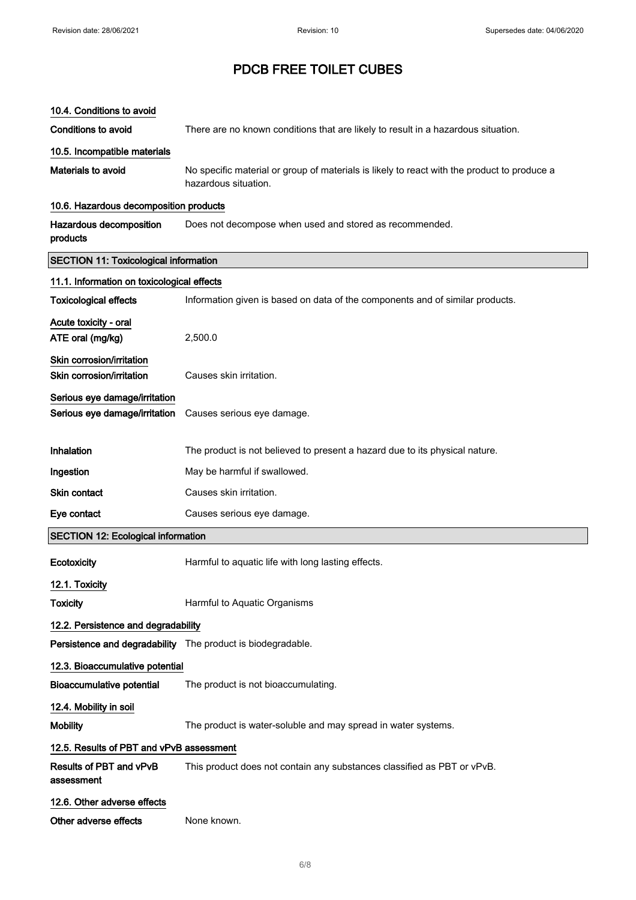| 10.4. Conditions to avoid                                      |                                                                                                                     |  |
|----------------------------------------------------------------|---------------------------------------------------------------------------------------------------------------------|--|
| <b>Conditions to avoid</b>                                     | There are no known conditions that are likely to result in a hazardous situation.                                   |  |
| 10.5. Incompatible materials                                   |                                                                                                                     |  |
| Materials to avoid                                             | No specific material or group of materials is likely to react with the product to produce a<br>hazardous situation. |  |
| 10.6. Hazardous decomposition products                         |                                                                                                                     |  |
| Hazardous decomposition<br>products                            | Does not decompose when used and stored as recommended.                                                             |  |
| <b>SECTION 11: Toxicological information</b>                   |                                                                                                                     |  |
| 11.1. Information on toxicological effects                     |                                                                                                                     |  |
| <b>Toxicological effects</b>                                   | Information given is based on data of the components and of similar products.                                       |  |
| Acute toxicity - oral<br>ATE oral (mg/kg)                      | 2,500.0                                                                                                             |  |
| Skin corrosion/irritation<br>Skin corrosion/irritation         | Causes skin irritation.                                                                                             |  |
| Serious eye damage/irritation<br>Serious eye damage/irritation | Causes serious eye damage.                                                                                          |  |
| Inhalation                                                     | The product is not believed to present a hazard due to its physical nature.                                         |  |
| Ingestion                                                      | May be harmful if swallowed.                                                                                        |  |
| Skin contact                                                   | Causes skin irritation.                                                                                             |  |
| Eye contact                                                    | Causes serious eye damage.                                                                                          |  |
| <b>SECTION 12: Ecological information</b>                      |                                                                                                                     |  |
| Ecotoxicity                                                    | Harmful to aquatic life with long lasting effects.                                                                  |  |
| 12.1. Toxicity                                                 |                                                                                                                     |  |
| <b>Toxicity</b>                                                | Harmful to Aquatic Organisms                                                                                        |  |
| 12.2. Persistence and degradability                            |                                                                                                                     |  |
| Persistence and degradability The product is biodegradable.    |                                                                                                                     |  |
| 12.3. Bioaccumulative potential                                |                                                                                                                     |  |
| <b>Bioaccumulative potential</b>                               | The product is not bioaccumulating.                                                                                 |  |
| 12.4. Mobility in soil                                         |                                                                                                                     |  |
| <b>Mobility</b>                                                | The product is water-soluble and may spread in water systems.                                                       |  |
| 12.5. Results of PBT and vPvB assessment                       |                                                                                                                     |  |
| Results of PBT and vPvB<br>assessment                          | This product does not contain any substances classified as PBT or vPvB.                                             |  |
| 12.6. Other adverse effects                                    |                                                                                                                     |  |
| Other adverse effects                                          | None known.                                                                                                         |  |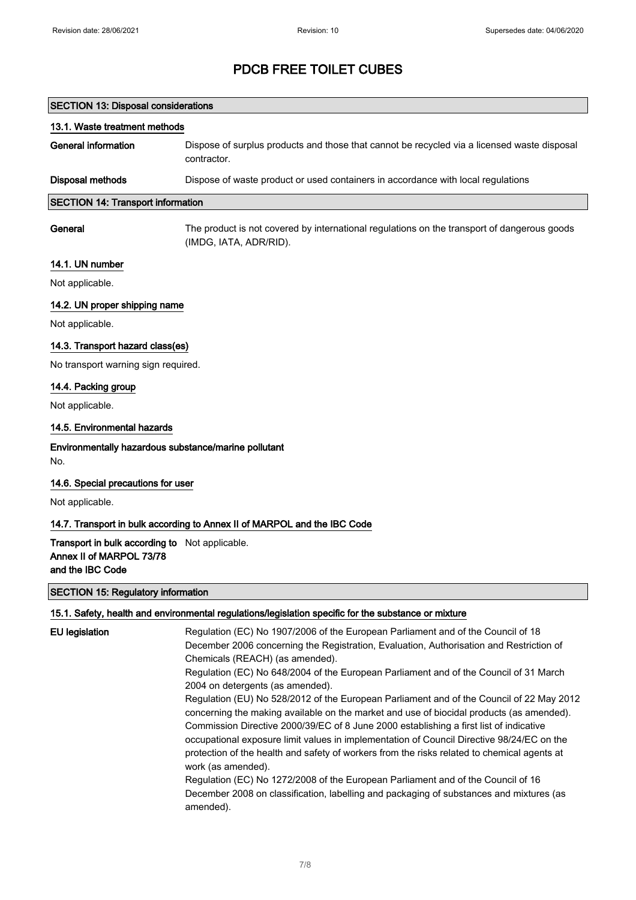| <b>SECTION 13: Disposal considerations</b> |                                                                                                            |
|--------------------------------------------|------------------------------------------------------------------------------------------------------------|
| 13.1. Waste treatment methods              |                                                                                                            |
| General information                        | Dispose of surplus products and those that cannot be recycled via a licensed waste disposal<br>contractor. |
| <b>Disposal methods</b>                    | Dispose of waste product or used containers in accordance with local regulations                           |
| <b>SECTION 14: Transport information</b>   |                                                                                                            |
|                                            |                                                                                                            |

General The product is not covered by international regulations on the transport of dangerous goods (IMDG, IATA, ADR/RID).

#### 14.1. UN number

Not applicable.

### 14.2. UN proper shipping name

Not applicable.

#### 14.3. Transport hazard class(es)

No transport warning sign required.

#### 14.4. Packing group

Not applicable.

#### 14.5. Environmental hazards

Environmentally hazardous substance/marine pollutant

No.

#### 14.6. Special precautions for user

Not applicable.

#### 14.7. Transport in bulk according to Annex II of MARPOL and the IBC Code

#### Transport in bulk according to Not applicable. Annex II of MARPOL 73/78 and the IBC Code

#### SECTION 15: Regulatory information

#### 15.1. Safety, health and environmental regulations/legislation specific for the substance or mixture

| <b>EU</b> legislation | Regulation (EC) No 1907/2006 of the European Parliament and of the Council of 18<br>December 2006 concerning the Registration, Evaluation, Authorisation and Restriction of<br>Chemicals (REACH) (as amended).                                                                                                                                                                                                                                                             |
|-----------------------|----------------------------------------------------------------------------------------------------------------------------------------------------------------------------------------------------------------------------------------------------------------------------------------------------------------------------------------------------------------------------------------------------------------------------------------------------------------------------|
|                       | Regulation (EC) No 648/2004 of the European Parliament and of the Council of 31 March<br>2004 on detergents (as amended).                                                                                                                                                                                                                                                                                                                                                  |
|                       | Regulation (EU) No 528/2012 of the European Parliament and of the Council of 22 May 2012<br>concerning the making available on the market and use of biocidal products (as amended).<br>Commission Directive 2000/39/EC of 8 June 2000 establishing a first list of indicative<br>occupational exposure limit values in implementation of Council Directive 98/24/EC on the<br>protection of the health and safety of workers from the risks related to chemical agents at |
|                       | work (as amended).<br>Regulation (EC) No 1272/2008 of the European Parliament and of the Council of 16<br>December 2008 on classification, labelling and packaging of substances and mixtures (as<br>amended).                                                                                                                                                                                                                                                             |